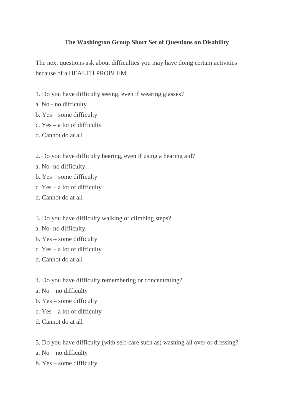## **The Washington Group Short Set of Questions on Disability**

The next questions ask about difficulties you may have doing certain activities because of a HEALTH PROBLEM.

- 1. Do you have difficulty seeing, even if wearing glasses?
- a. No no difficulty
- b. Yes some difficulty
- c. Yes a lot of difficulty
- d. Cannot do at all
- 2. Do you have difficulty hearing, even if using a hearing aid?
- a. No- no difficulty
- b. Yes some difficulty
- c. Yes a lot of difficulty
- d. Cannot do at all
- 3. Do you have difficulty walking or climbing steps?
- a. No- no difficulty
- b. Yes some difficulty
- c. Yes a lot of difficulty
- d. Cannot do at all
- 4. Do you have difficulty remembering or concentrating?
- a. No no difficulty
- b. Yes some difficulty
- c. Yes a lot of difficulty
- d. Cannot do at all
- 5. Do you have difficulty (with self-care such as) washing all over or dressing?
- a. No no difficulty
- b. Yes some difficulty